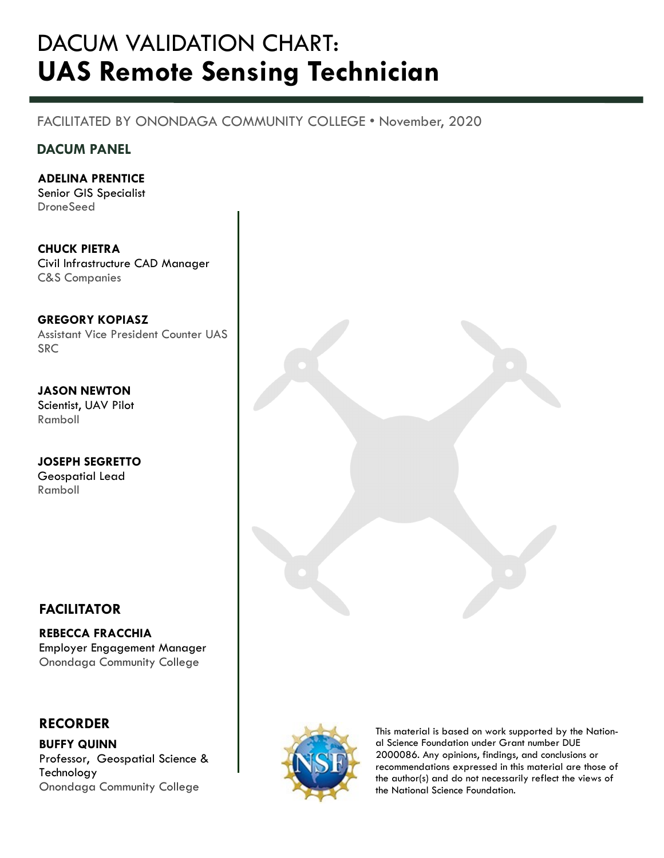## DACUM VALIDATION CHART: UAS Remote Sensing Technician

## FACILITATED BY ONONDAGA COMMUNITY COLLEGE • November, 2020

## DACUM PANEL

ADELINA PRENTICE

Senior GIS Specialist **DroneSeed** 

CHUCK PIETRA Civil Infrastructure CAD Manager C&S Companies

GREGORY KOPIASZ Assistant Vice President Counter UAS **SRC** 

JASON NEWTON Scientist, UAV Pilot Ramboll

JOSEPH SEGRETTO Geospatial Lead Ramboll

## FACILITATOR

REBECCA FRACCHIA Employer Engagement Manager Onondaga Community College

## RECORDER

BUFFY QUINN Professor, Geospatial Science & Technology Onondaga Community College.





This material is based on work supported by the National Science Foundation under Grant number DUE 2000086. Any opinions, findings, and conclusions or recommendations expressed in this material are those of the author(s) and do not necessarily reflect the views of the National Science Foundation.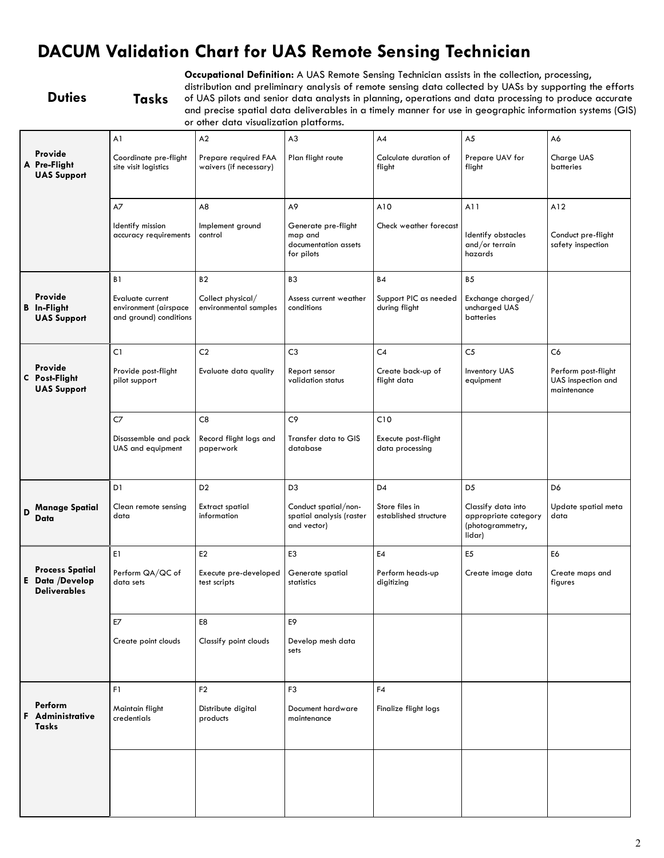## DACUM Validation Chart for UAS Remote Sensing Technician

Occupational Definition: A UAS Remote Sensing Technician assists in the collection, processing,

### Duties Tasks

distribution and preliminary analysis of remote sensing data collected by UASs by supporting the efforts of UAS pilots and senior data analysts in planning, operations and data processing to produce accurate and precise spatial data deliverables in a timely manner for use in geographic information systems (GIS) or other data visualization platforms.

| Provide<br>A Pre-Flight                                          | A1<br>Coordinate pre-flight<br>site visit logistics                 | A2<br>Prepare required FAA<br>waivers (if necessary) | A <sub>3</sub><br>Plan flight route                                  | A4<br>Calculate duration of<br>flight   | A <sub>5</sub><br>Prepare UAV for<br>flight                              | A6<br>Charge UAS<br><b>batteries</b>                     |
|------------------------------------------------------------------|---------------------------------------------------------------------|------------------------------------------------------|----------------------------------------------------------------------|-----------------------------------------|--------------------------------------------------------------------------|----------------------------------------------------------|
| <b>UAS Support</b>                                               |                                                                     |                                                      |                                                                      |                                         |                                                                          |                                                          |
|                                                                  | A7                                                                  | A8                                                   | A9                                                                   | A10                                     | A11                                                                      | A12                                                      |
|                                                                  | Identify mission<br>accuracy requirements                           | Implement ground<br>control                          | Generate pre-flight<br>map and<br>documentation assets<br>for pilots | Check weather forecast                  | Identify obstacles<br>and/or terrain<br>hazards                          | Conduct pre-flight<br>safety inspection                  |
|                                                                  | B <sub>1</sub>                                                      | B <sub>2</sub>                                       | B <sub>3</sub>                                                       | <b>B4</b>                               | <b>B5</b>                                                                |                                                          |
| Provide<br><b>B</b> In-Flight<br><b>UAS Support</b>              | Evaluate current<br>environment (airspace<br>and ground) conditions | Collect physical/<br>environmental samples           | Assess current weather<br>conditions                                 | Support PIC as needed<br>during flight  | Exchange charged/<br>uncharged UAS<br>batteries                          |                                                          |
|                                                                  | C1                                                                  | C <sub>2</sub>                                       | C <sub>3</sub>                                                       | C <sub>4</sub>                          | C <sub>5</sub>                                                           | C6                                                       |
| Provide<br>C Post-Flight<br><b>UAS Support</b>                   | Provide post-flight<br>pilot support                                | Evaluate data quality                                | Report sensor<br>validation status                                   | Create back-up of<br>flight data        | <b>Inventory UAS</b><br>equipment                                        | Perform post-flight<br>UAS inspection and<br>maintenance |
|                                                                  | C7                                                                  | C8                                                   | C9                                                                   | C10                                     |                                                                          |                                                          |
|                                                                  | Disassemble and pack<br>UAS and equipment                           | Record flight logs and<br>paperwork                  | Transfer data to GIS<br>database                                     | Execute post-flight<br>data processing  |                                                                          |                                                          |
|                                                                  | D1                                                                  | D <sub>2</sub>                                       | D <sub>3</sub>                                                       | D <sub>4</sub>                          | D <sub>5</sub>                                                           | D6                                                       |
| <b>Manage Spatial</b><br>D<br>Data                               | Clean remote sensing<br>data                                        | <b>Extract spatial</b><br>information                | Conduct spatial/non-<br>spatial analysis (raster<br>and vector)      | Store files in<br>established structure | Classify data into<br>appropriate category<br>(photogrammetry,<br>lidar) | Update spatial meta<br>data                              |
|                                                                  | E1                                                                  | E <sub>2</sub>                                       | E <sub>3</sub>                                                       | E4                                      | E <sub>5</sub>                                                           | E6                                                       |
| <b>Process Spatial</b><br>E Data /Develop<br><b>Deliverables</b> | Perform QA/QC of<br>data sets                                       | Execute pre-developed<br>test scripts                | Generate spatial<br>statistics                                       | Perform heads-up<br>digitizing          | Create image data                                                        | Create maps and<br>figures                               |
|                                                                  | $E7$                                                                | E8                                                   | E9                                                                   |                                         |                                                                          |                                                          |
|                                                                  | Create point clouds                                                 | Classify point clouds                                | Develop mesh data<br>sets                                            |                                         |                                                                          |                                                          |
|                                                                  | F1                                                                  | F <sub>2</sub>                                       | F <sub>3</sub>                                                       | F4                                      |                                                                          |                                                          |
| Perform<br>Administrative<br><b>Tasks</b>                        | Maintain flight<br>credentials                                      | Distribute digital<br>products                       | Document hardware<br>maintenance                                     | Finalize flight logs                    |                                                                          |                                                          |
|                                                                  |                                                                     |                                                      |                                                                      |                                         |                                                                          |                                                          |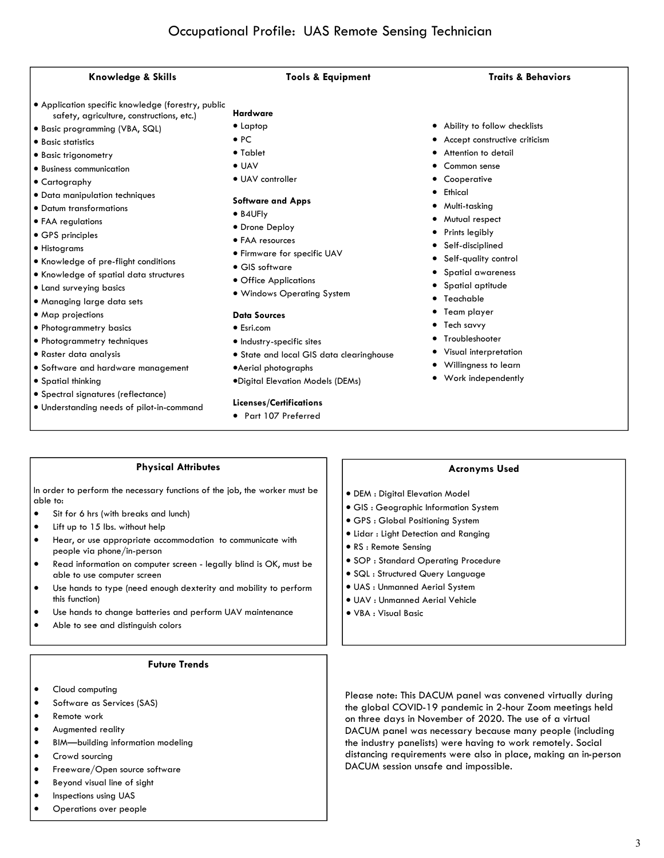### Knowledge & Skills Tools & Equipment Traits & Behaviors

- · Application specific knowledge (forestry, public safety, agriculture, constructions, etc.)
- · Basic programming (VBA, SQL)
- · Basic statistics
- · Basic trigonometry
- · Business communication
- · Cartography
- · Data manipulation techniques
- · Datum transformations
- · FAA regulations
- · GPS principles
- · Histograms
- · Knowledge of pre-flight conditions
- · Knowledge of spatial data structures
- · Land surveying basics
- · Managing large data sets
- · Map projections
- · Photogrammetry basics
- · Photogrammetry techniques
- · Raster data analysis
- · Software and hardware management
- · Spatial thinking
- · Spectral signatures (reflectance)
- · Understanding needs of pilot-in-command
- Hardware
- · Laptop · PC
- · Tablet
- · UAV
- · UAV controller
- 

### Software and Apps

- · B4UFly
- · Drone Deploy
- · FAA resources
- · Firmware for specific UAV
- · GIS software
- · Office Applications
- · Windows Operating System

### Data Sources

- · Esri.com
- · Industry-specific sites
- · State and local GIS data clearinghouse
- ·Aerial photographs
- ·Digital Elevation Models (DEMs)

### Licenses/Certifications

· Part 107 Preferred

- · Ability to follow checklists
- Accept constructive criticism
- Attention to detail
- Common sense
- **Cooperative**
- · Ethical
- · Multi-tasking
- · Mutual respect
- · Prints legibly
- · Self-disciplined
- Self-quality control
- · Spatial awareness
- Spatial aptitude
- · Teachable
- · Team player
- · Tech savvy
- · Troubleshooter
- · Visual interpretation
- · Willingness to learn
- · Work independently

### Physical Attributes

In order to perform the necessary functions of the job, the worker must be able to:

- · Sit for 6 hrs (with breaks and lunch)
- Lift up to 15 lbs. without help
- Hear, or use appropriate accommodation to communicate with people via phone/in-person
- Read information on computer screen legally blind is OK, must be able to use computer screen
- · Use hands to type (need enough dexterity and mobility to perform this function)
- Use hands to change batteries and perform UAV maintenance
- Able to see and distinguish colors

### Future Trends

- Cloud computing
- Software as Services (SAS)
- · Remote work
- Augmented reality
- · BIM—building information modeling
- Crowd sourcing
- Freeware/Open source software
- · Beyond visual line of sight
- Inspections using UAS
- Operations over people

## Acronyms Used

Please note: This DACUM panel was convened virtually during the global COVID-19 pandemic in 2-hour Zoom meetings held on three days in November of 2020. The use of a virtual DACUM panel was necessary because many people (including the industry panelists) were having to work remotely. Social distancing requirements were also in place, making an in-person

3

- · DEM : Digital Elevation Model
- · GIS : Geographic Information System
- · GPS : Global Positioning System
- · Lidar : Light Detection and Ranging
- · RS : Remote Sensing
- · SOP : Standard Operating Procedure

DACUM session unsafe and impossible.

- · SQL : Structured Query Language
- · UAS : Unmanned Aerial System
- · UAV : Unmanned Aerial Vehicle
- · VBA : Visual Basic